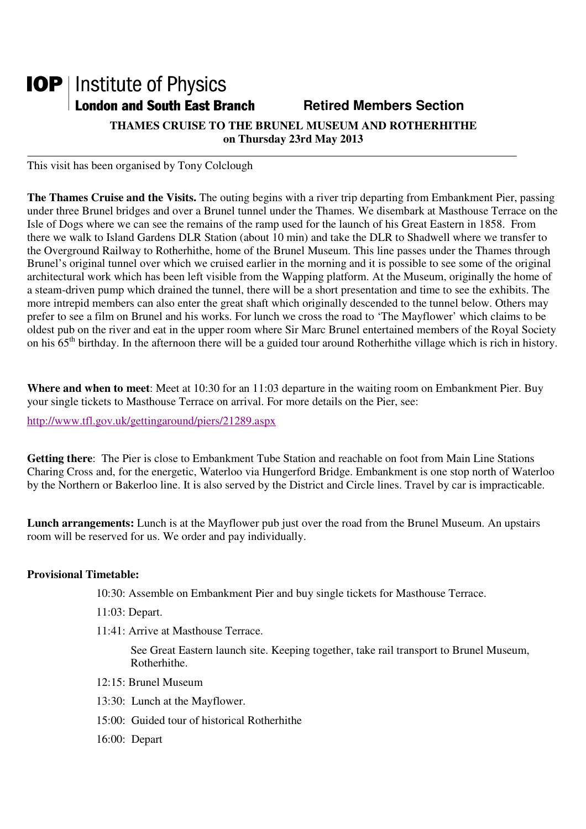## **IOP** | Institute of Physics **London and South East Branch Famely Retired Members Section**

**THAMES CRUISE TO THE BRUNEL MUSEUM AND ROTHERHITHE on Thursday 23rd May 2013** 

This visit has been organised by Tony Colclough

**The Thames Cruise and the Visits.** The outing begins with a river trip departing from Embankment Pier, passing under three Brunel bridges and over a Brunel tunnel under the Thames. We disembark at Masthouse Terrace on the Isle of Dogs where we can see the remains of the ramp used for the launch of his Great Eastern in 1858. From there we walk to Island Gardens DLR Station (about 10 min) and take the DLR to Shadwell where we transfer to the Overground Railway to Rotherhithe, home of the Brunel Museum. This line passes under the Thames through Brunel's original tunnel over which we cruised earlier in the morning and it is possible to see some of the original architectural work which has been left visible from the Wapping platform. At the Museum, originally the home of a steam-driven pump which drained the tunnel, there will be a short presentation and time to see the exhibits. The more intrepid members can also enter the great shaft which originally descended to the tunnel below. Others may prefer to see a film on Brunel and his works. For lunch we cross the road to 'The Mayflower' which claims to be oldest pub on the river and eat in the upper room where Sir Marc Brunel entertained members of the Royal Society on his  $65<sup>th</sup>$  birthday. In the afternoon there will be a guided tour around Rotherhithe village which is rich in history.

**Where and when to meet**: Meet at 10:30 for an 11:03 departure in the waiting room on Embankment Pier. Buy your single tickets to Masthouse Terrace on arrival. For more details on the Pier, see:

http://www.tfl.gov.uk/gettingaround/piers/21289.aspx

**Getting there**: The Pier is close to Embankment Tube Station and reachable on foot from Main Line Stations Charing Cross and, for the energetic, Waterloo via Hungerford Bridge. Embankment is one stop north of Waterloo by the Northern or Bakerloo line. It is also served by the District and Circle lines. Travel by car is impracticable.

**Lunch arrangements:** Lunch is at the Mayflower pub just over the road from the Brunel Museum. An upstairs room will be reserved for us. We order and pay individually.

## **Provisional Timetable:**

- 10:30: Assemble on Embankment Pier and buy single tickets for Masthouse Terrace.
- 11:03: Depart.
- 11:41: Arrive at Masthouse Terrace.

See Great Eastern launch site. Keeping together, take rail transport to Brunel Museum, Rotherhithe.

- 12:15: Brunel Museum
- 13:30: Lunch at the Mayflower.
- 15:00: Guided tour of historical Rotherhithe
- 16:00: Depart